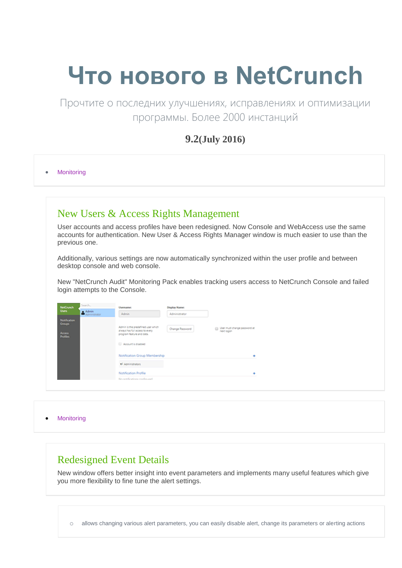# **Что нового в NetCrunch**

Прочтите о последних улучшениях, исправлениях и оптимизации программы. Более 2000 инстанций

### **9.2(July 2016)**

• Monitoring

### New Users & Access Rights Management

User accounts and access profiles have been redesigned. Now Console and WebAccess use the same accounts for authentication. New User & Access Rights Manager window is much easier to use than the previous one.

Additionally, various settings are now automatically synchronized within the user profile and between desktop console and web console.

New "NetCrunch Audit" Monitoring Pack enables tracking users access to NetCrunch Console and failed login attempts to the Console.

| NetCrunch                                                   | Search | Username:                                                                                                                 | Display Name:   |                                              |
|-------------------------------------------------------------|--------|---------------------------------------------------------------------------------------------------------------------------|-----------------|----------------------------------------------|
| <b>Users</b>                                                | Admin  | Admin.                                                                                                                    | Administrator   |                                              |
| Notification<br>Groups:<br><b>Access</b><br><b>Profiles</b> |        | Admin is the predefined user which<br>always has full access to every<br>program feature and data.<br>Account is disabled | Change Password | B User must change password at<br>next logon |
|                                                             |        | Notification Group Membership                                                                                             |                 |                                              |
|                                                             |        | #7 Administrators                                                                                                         |                 |                                              |
|                                                             |        | Notification Profile                                                                                                      |                 |                                              |
|                                                             |        | Mes west-Kerationer resulting each                                                                                        |                 |                                              |

• Monitoring

### Redesigned Event Details

New window offers better insight into event parameters and implements many useful features which give you more flexibility to fine tune the alert settings.

o allows changing various alert parameters, you can easily disable alert, change its parameters or alerting actions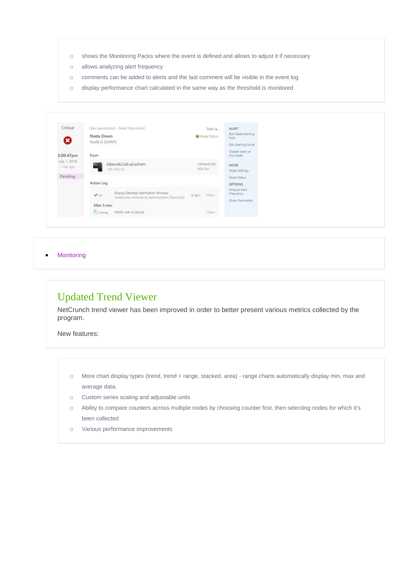- o shows the Monitoring Packs where the event is defined and allows to adjust it if necessary
- o allows analyzing alert frequency
- o comments can be added to alerts and the last comment will be visible in the event log
- o display performance chart calculated in the same way as the threshold is monitored

| Critical                  |              | Non operational - Node State Event                |                                | New -                         | <b>ALERT</b>                            |  |
|---------------------------|--------------|---------------------------------------------------|--------------------------------|-------------------------------|-----------------------------------------|--|
| ο                         | Node Down    |                                                   |                                | Wode Status                   | Edit Node Alerting<br>Rule <sup>1</sup> |  |
|                           | Node is DOWN |                                                   |                                |                               | Edit Alerting Script                    |  |
| 3:00:47pm                 | XX 2<br>From |                                                   |                                |                               | Disable Alert on<br>this Node<br>-----  |  |
| July 1, 2016<br>1 day ago | रा ।         | labesxi62.lab.ad.adrem<br>192.166.2.62            |                                | Wilware ESX<br><b>ESX 5.X</b> | NODE <sup>1</sup><br>Node Settings      |  |
| Pending                   |              |                                                   |                                |                               | Node Status                             |  |
|                           | Action Log   |                                                   |                                |                               | OPTIONS.                                |  |
|                           | $\vee$ or    | Display Desktop Notification Window               | $(2.641)$ – $100\mu\mathrm{s}$ |                               | Analyze Alert<br>Frequency              |  |
|                           | After 5 min. | Notification received by Administrator (Teanick2) | aptos.                         |                               | Show Parameters                         |  |
|                           | Chryslery    | Notify user or group                              |                                | 10lpm                         |                                         |  |

### Updated Trend Viewer

NetCrunch trend viewer has been improved in order to better present various metrics collected by the program.

New features:

- o More chart display types (trend, trend + range, stacked, area) range charts automatically display min, max and average data.
- o Custom series scaling and adjustable units
- o Ability to compare counters across multiple nodes by choosing counter first, then selecting nodes for which it's been collected
- o Various performance improvements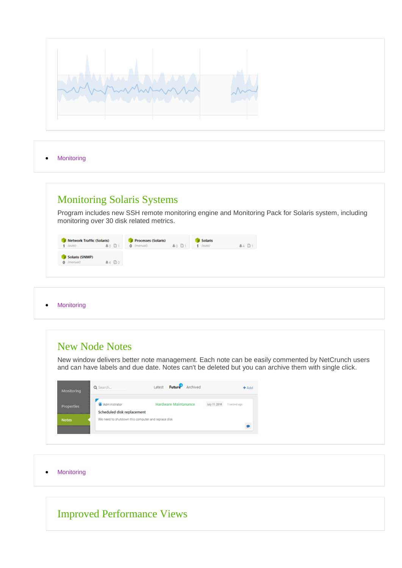

# Monitoring Solaris Systems

Program includes new SSH remote monitoring engine and Monitoring Pack for Solaris system, including monitoring over 30 disk related metrics.

| <b>Network Traffic (Solaris)</b><br>$1$ (auto) | $A0$ $01$ | <b>Processes (Solaris)</b><br>$0$ (manual) | $A0$ $D1$ | Solaris<br>$1$ (outo) | <b>A4 D1</b> |
|------------------------------------------------|-----------|--------------------------------------------|-----------|-----------------------|--------------|
| Solaris (SNMP)<br>$0$ (manual)                 | A4 Do     |                                            |           |                       |              |

### • Monitoring

# New Node Notes

New window delivers better note management. Each note can be easily commented by NetCrunch users and can have labels and due date. Notes can't be deleted but you can archive them with single click.

| Monitoring        | Q Search                                                                         | Future Archived<br>Latest | $+$ Add                       |
|-------------------|----------------------------------------------------------------------------------|---------------------------|-------------------------------|
| <b>Properties</b> | Administrator                                                                    | Hardware Maintanance      | Aily 11, 2016<br>1 second ago |
| <b>Notes</b>      | Scheduled disk replacement<br>We need to shutdown this computer and replace disk |                           |                               |

• Monitoring

# Improved Performance Views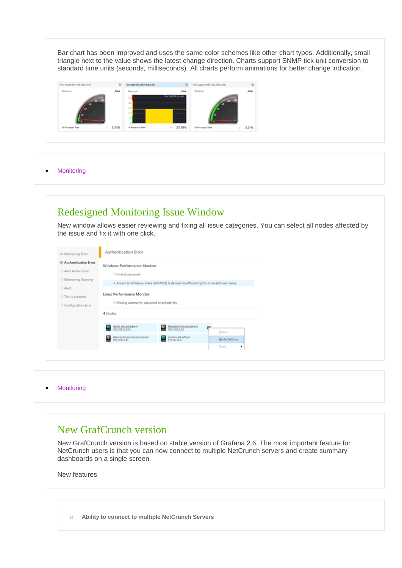Bar chart has been improved and uses the same color schemes like other chart types. Additionally, small triangle next to the value shows the latest change direction. Charts support SNMP tick unit conversion to standard time units (seconds, milliseconds). All charts perform animations for better change indication.



**•** Monitoring

# Redesigned Monitoring Issue Window

New window allows easier reviewing and fixing all issue categories. You can select all nodes affected by the issue and fix it with one click.

| 14 Monitoring Error                                                                                                              | <b>Authentication Error</b>                                                                                                          |                                                                                          |                      |
|----------------------------------------------------------------------------------------------------------------------------------|--------------------------------------------------------------------------------------------------------------------------------------|------------------------------------------------------------------------------------------|----------------------|
| 10 Authentication Error<br>1 Alert Action Error<br>1 Monitoring Warning<br>1 Alert<br>1 This is problem<br>1 Configuration Error | <b>Windows Performance Monitor</b><br>1 Invalid password<br>Linux Performance Monitor<br>5 Missing username, password or private key | 4 Access to Windows share (ADMIN\$) is denied. Insufficient rights or invalid user name. |                      |
|                                                                                                                                  | 4 Nodes                                                                                                                              |                                                                                          |                      |
|                                                                                                                                  | labdc.lab.ad.adrem<br>192.168.3.250                                                                                                  | labsgisrv.lab.ad.adrem<br>192.168.2.42                                                   | e<br>Status.         |
|                                                                                                                                  | labycentersrv.lab.ad.adrem<br>192.168.2.41                                                                                           | vpnsrv.ad.adrem<br>172.16.16.2                                                           | <b>Node Settings</b> |
|                                                                                                                                  |                                                                                                                                      |                                                                                          | Tools.<br>٠          |

• Monitoring

### New GrafCrunch version

New GrafCrunch version is based on stable version of Grafana 2.6. The most important feature for NetCrunch users is that you can now connect to multiple NetCrunch servers and create summary dashboards on a single screen.

New features

o **Ability to connect to multiple NetCrunch Servers**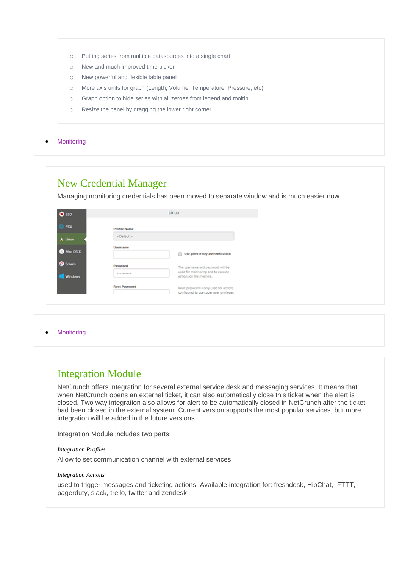- o Putting series from multiple datasources into a single chart
- o New and much improved time picker
- o New powerful and flexible table panel
- o More axis units for graph (Length, Volume, Temperature, Pressure, etc)
- o Graph option to hide series with all zeroes from legend and tooltip
- o Resize the panel by dragging the lower right corner

### New Credential Manager

Managing monitoring credentials has been moved to separate window and is much easier now.

| <b>D</b> BSD   |                         | Linux                                                                             |
|----------------|-------------------------|-----------------------------------------------------------------------------------|
| <b>ESX6</b>    | <b>Profile Name</b>     |                                                                                   |
| A. Linux       | <default></default>     |                                                                                   |
| Mac OS X       | <b>Username</b>         | Use private key authentication                                                    |
| <b>Solaris</b> | Password                | The usemame and password will be<br>used for monitoring and to execute            |
| <b>Windows</b> | <b><i>BERRIEREE</i></b> | actions on the machine.                                                           |
|                | <b>Root Password</b>    | Root password is only used for actions<br>configured to use super user privileges |
|                |                         |                                                                                   |

• Monitoring

### Integration Module

NetCrunch offers integration for several external service desk and messaging services. It means that when NetCrunch opens an external ticket, it can also automatically close this ticket when the alert is closed. Two way integration also allows for alert to be automatically closed in NetCrunch after the ticket had been closed in the external system. Current version supports the most popular services, but more integration will be added in the future versions.

Integration Module includes two parts:

*Integration Profiles*

Allow to set communication channel with external services

### *Integration Actions*

used to trigger messages and ticketing actions. Available integration for: freshdesk, HipChat, IFTTT, pagerduty, slack, trello, twitter and zendesk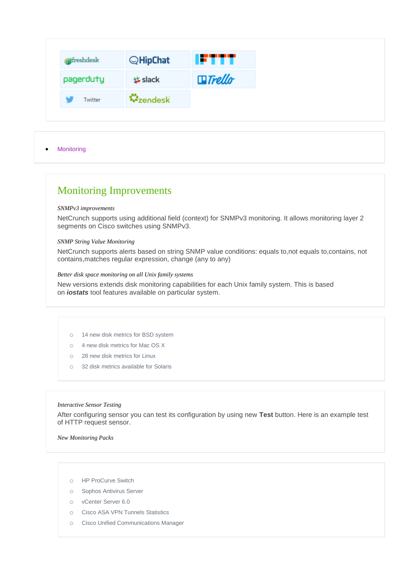| ofreshdesk |         | $Q$ HipChat      | IFTTT.        |
|------------|---------|------------------|---------------|
| pagerduty  |         | <b>歩 slack</b>   | $\Box$ Trello |
|            | Twitter | <b>W</b> zendesk |               |

# Monitoring Improvements

#### *SNMPv3 improvements*

NetCrunch supports using additional field (context) for SNMPv3 monitoring. It allows monitoring layer 2 segments on Cisco switches using SNMPv3.

### *SNMP String Value Monitoring*

NetCrunch supports alerts based on string SNMP value conditions: equals to,not equals to,contains, not contains,matches regular expression, change (any to any)

### *Better disk space monitoring on all Unix family systems*

New versions extends disk monitoring capabilities for each Unix family system. This is based on *iostats* tool features available on particular system.

- o 14 new disk metrics for BSD system
- o 4 new disk metrics for Mac OS X
- o 28 new disk metrics for Linux
- o 32 disk metrics available for Solaris

### *Interactive Sensor Testing*

After configuring sensor you can test its configuration by using new **Test** button. Here is an example test of HTTP request sensor.

*New Monitoring Packs*

- o HP ProCurve Switch
- o Sophos Antivirus Server
- o vCenter Server 6.0
- o Cisco ASA VPN Tunnels Statistics
- o Cisco Unified Communications Manager